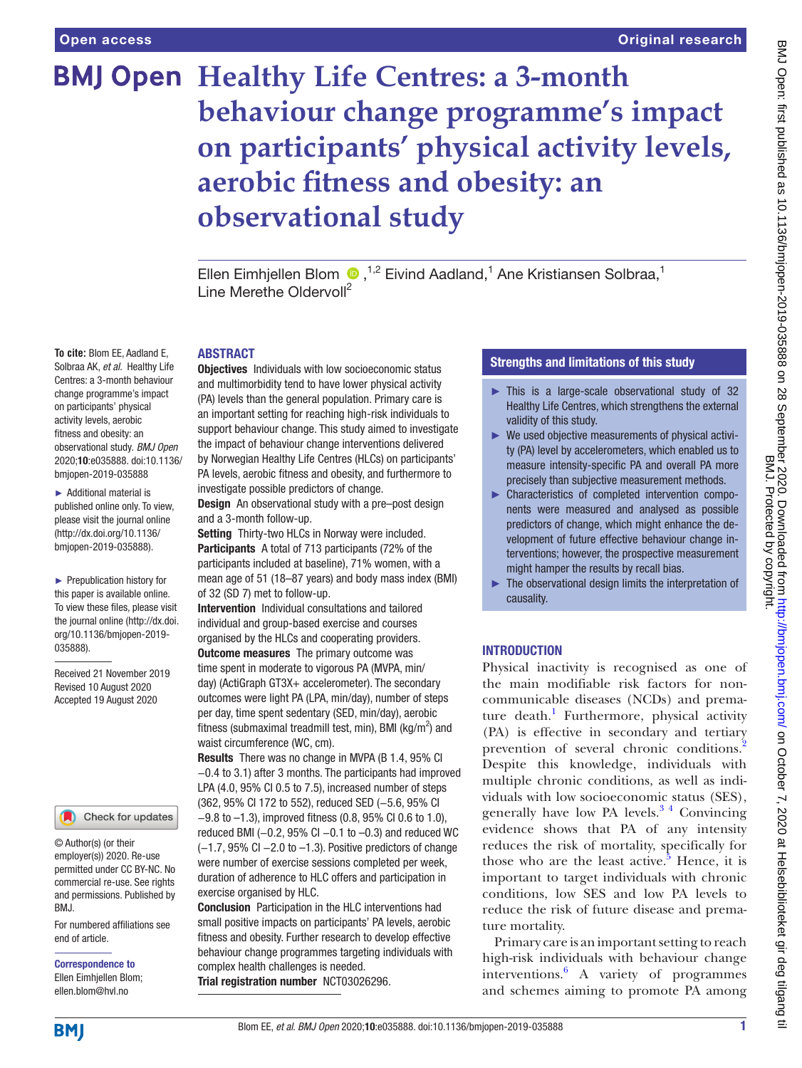**To cite:** Blom EE, Aadland E,

on participants' physical activity levels, aerobic fitness and obesity: an

bmjopen-2019-035888 ► Additional material is published online only. To view, please visit the journal online [\(http://dx.doi.org/10.1136/](http://dx.doi.org/10.1136/bmjpo-2020-000755).) [bmjopen-2019-035888](http://dx.doi.org/10.1136/bmjpo-2020-000755).)).

► Prepublication history for this paper is available online. To view these files, please visit the journal online (http://dx.doi. org/10.1136/bmjopen-2019-

Received 21 November 2019 Revised 10 August 2020 Accepted 19 August 2020

035888).

# **BMJ Open Healthy Life Centres: a 3-month behaviour change programme's impact on participants' physical activity levels, aerobic fitness and obesity: an observational study**

EllenEimhjellen Blom  $\bigcirc$ ,<sup>1,2</sup> Eivind Aadland,<sup>1</sup> Ane Kristiansen Solbraa,<sup>1</sup> Line Merethe Oldervoll<sup>2</sup>

#### ABSTRACT

Solbraa AK, *et al*. Healthy Life Centres: a 3-month behaviour change programme's impact observational study. *BMJ Open* 2020;10:e035888. doi:10.1136/ **Objectives** Individuals with low socioeconomic status and multimorbidity tend to have lower physical activity (PA) levels than the general population. Primary care is an important setting for reaching high-risk individuals to support behaviour change. This study aimed to investigate the impact of behaviour change interventions delivered by Norwegian Healthy Life Centres (HLCs) on participants' PA levels, aerobic fitness and obesity, and furthermore to investigate possible predictors of change.

> Design An observational study with a pre–post design and a 3-month follow-up.

Setting Thirty-two HLCs in Norway were included. Participants A total of 713 participants (72% of the participants included at baseline), 71% women, with a mean age of 51 (18–87 years) and body mass index (BMI) of 32 (SD 7) met to follow-up.

Intervention Individual consultations and tailored individual and group-based exercise and courses organised by the HLCs and cooperating providers.

**Outcome measures** The primary outcome was time spent in moderate to vigorous PA (MVPA, min/ day) (ActiGraph GT3X+ accelerometer). The secondary outcomes were light PA (LPA, min/day), number of steps per day, time spent sedentary (SED, min/day), aerobic fitness (submaximal treadmill test, min), BMI (kg/m<sup>2</sup>) and waist circumference (WC, cm).

Results There was no change in MVPA (B 1.4, 95% CI −0.4 to 3.1) after 3 months. The participants had improved LPA (4.0, 95% CI 0.5 to 7.5), increased number of steps (362, 95% CI 172 to 552), reduced SED (−5.6, 95% CI −9.8 to –1.3), improved fitness (0.8, 95% CI 0.6 to 1.0), reduced BMI (−0.2, 95% CI −0.1 to –0.3) and reduced WC (−1.7, 95% CI −2.0 to –1.3). Positive predictors of change were number of exercise sessions completed per week, duration of adherence to HLC offers and participation in exercise organised by HLC.

Conclusion Participation in the HLC interventions had small positive impacts on participants' PA levels, aerobic fitness and obesity. Further research to develop effective behaviour change programmes targeting individuals with complex health challenges is needed. Trial registration number <NCT03026296>.

# Strengths and limitations of this study

- ► This is a large-scale observational study of 32 Healthy Life Centres, which strengthens the external validity of this study.
- $\blacktriangleright$  We used objective measurements of physical activity (PA) level by accelerometers, which enabled us to measure intensity-specific PA and overall PA more precisely than subjective measurement methods.
- ► Characteristics of completed intervention components were measured and analysed as possible predictors of change, which might enhance the development of future effective behaviour change interventions; however, the prospective measurement might hamper the results by recall bias.
- ► The observational design limits the interpretation of causality.

# **INTRODUCTION**

Physical inactivity is recognised as one of the main modifiable risk factors for noncommunicable diseases (NCDs) and prema-ture death.<sup>[1](#page-8-0)</sup> Furthermore, physical activity (PA) is effective in secondary and tertiary prevention of several chronic conditions.<sup>2</sup> Despite this knowledge, individuals with multiple chronic conditions, as well as individuals with low socioeconomic status (SES), generally have low PA levels. $3<sup>4</sup>$  Convincing evidence shows that PA of any intensity reduces the risk of mortality, specifically for those who are the least active.<sup>5</sup> Hence, it is important to target individuals with chronic conditions, low SES and low PA levels to reduce the risk of future disease and premature mortality.

Primary care is an important setting to reach high-risk individuals with behaviour change interventions.[6](#page-8-4) A variety of programmes and schemes aiming to promote PA among

Ellen Eimhjellen Blom; ellen.blom@hvl.no

end of article.

BMJ.

Correspondence to

© Author(s) (or their employer(s)) 2020. Re-use permitted under CC BY-NC. No commercial re-use. See rights and permissions. Published by

For numbered affiliations see

Check for updates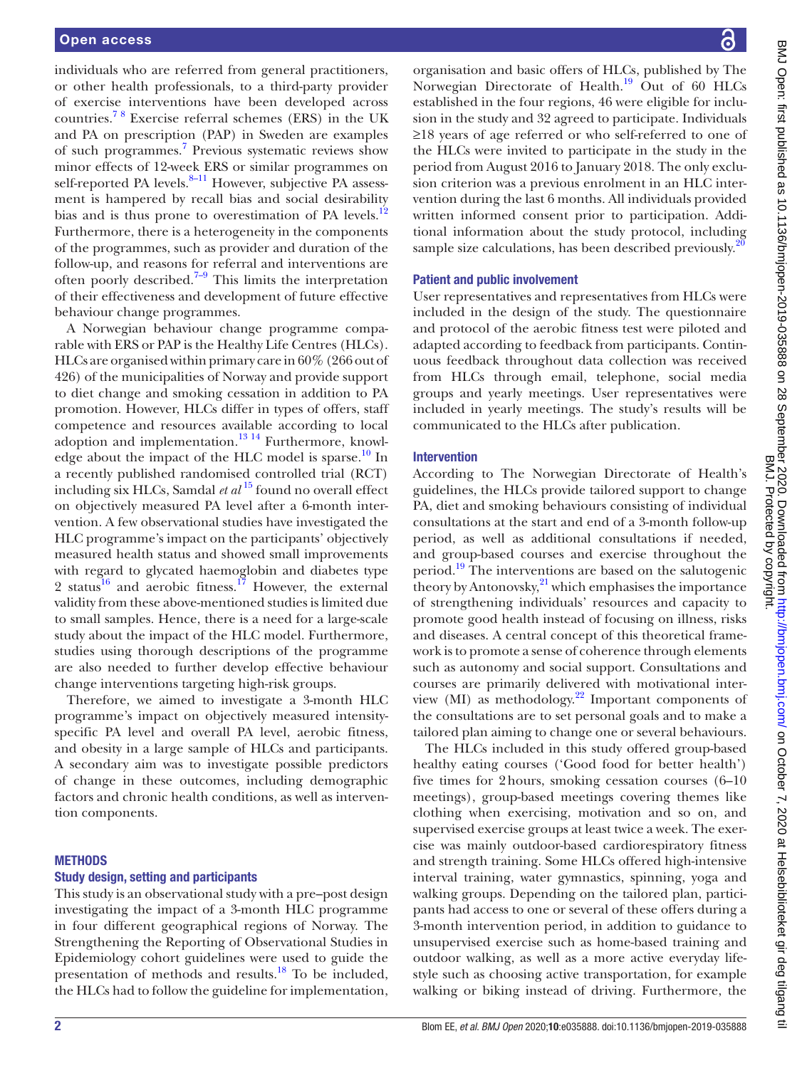individuals who are referred from general practitioners, or other health professionals, to a third-party provider of exercise interventions have been developed across countries.[7 8](#page-8-5) Exercise referral schemes (ERS) in the UK and PA on prescription (PAP) in Sweden are examples of such programmes.<sup>[7](#page-8-5)</sup> Previous systematic reviews show minor effects of 12-week ERS or similar programmes on self-reported PA levels.<sup>8–11</sup> However, subjective PA assessment is hampered by recall bias and social desirability bias and is thus prone to overestimation of PA levels.<sup>[12](#page-8-7)</sup> Furthermore, there is a heterogeneity in the components of the programmes, such as provider and duration of the follow-up, and reasons for referral and interventions are often poorly described.<sup>7-9</sup> This limits the interpretation of their effectiveness and development of future effective behaviour change programmes.

A Norwegian behaviour change programme comparable with ERS or PAP is the Healthy Life Centres (HLCs). HLCs are organised within primary care in 60% (266 out of 426) of the municipalities of Norway and provide support to diet change and smoking cessation in addition to PA promotion. However, HLCs differ in types of offers, staff competence and resources available according to local adoption and implementation.<sup>[13 14](#page-8-8)</sup> Furthermore, knowl-edge about the impact of the HLC model is sparse.<sup>[10](#page-8-9)</sup> In a recently published randomised controlled trial (RCT) including six HLCs, Samdal *et al* <sup>15</sup> found no overall effect on objectively measured PA level after a 6-month intervention. A few observational studies have investigated the HLC programme's impact on the participants' objectively measured health status and showed small improvements with regard to glycated haemoglobin and diabetes type 2 status<sup>16</sup> and aerobic fitness.<sup>17</sup> However, the external validity from these above-mentioned studies is limited due to small samples. Hence, there is a need for a large-scale study about the impact of the HLC model. Furthermore, studies using thorough descriptions of the programme are also needed to further develop effective behaviour change interventions targeting high-risk groups.

Therefore, we aimed to investigate a 3-month HLC programme's impact on objectively measured intensityspecific PA level and overall PA level, aerobic fitness, and obesity in a large sample of HLCs and participants. A secondary aim was to investigate possible predictors of change in these outcomes, including demographic factors and chronic health conditions, as well as intervention components.

#### **METHODS**

#### Study design, setting and participants

This study is an observational study with a pre–post design investigating the impact of a 3-month HLC programme in four different geographical regions of Norway. The Strengthening the Reporting of Observational Studies in Epidemiology cohort guidelines were used to guide the presentation of methods and results.[18](#page-8-13) To be included, the HLCs had to follow the guideline for implementation,

르

organisation and basic offers of HLCs, published by The Norwegian Directorate of Health.<sup>19</sup> Out of 60 HLCs established in the four regions, 46 were eligible for inclusion in the study and 32 agreed to participate. Individuals ≥18 years of age referred or who self-referred to one of the HLCs were invited to participate in the study in the period from August 2016 to January 2018. The only exclusion criterion was a previous enrolment in an HLC intervention during the last 6 months. All individuals provided written informed consent prior to participation. Additional information about the study protocol, including sample size calculations, has been described previously.<sup>[20](#page-8-15)</sup>

#### Patient and public involvement

User representatives and representatives from HLCs were included in the design of the study. The questionnaire and protocol of the aerobic fitness test were piloted and adapted according to feedback from participants. Continuous feedback throughout data collection was received from HLCs through email, telephone, social media groups and yearly meetings. User representatives were included in yearly meetings. The study's results will be communicated to the HLCs after publication.

#### Intervention

According to The Norwegian Directorate of Health's guidelines, the HLCs provide tailored support to change PA, diet and smoking behaviours consisting of individual consultations at the start and end of a 3-month follow-up period, as well as additional consultations if needed, and group-based courses and exercise throughout the period.<sup>19</sup> The interventions are based on the salutogenic theory by Antonovsky, $^{21}$  which emphasises the importance of strengthening individuals' resources and capacity to promote good health instead of focusing on illness, risks and diseases. A central concept of this theoretical framework is to promote a sense of coherence through elements such as autonomy and social support. Consultations and courses are primarily delivered with motivational interview (MI) as methodology. $22$  Important components of the consultations are to set personal goals and to make a tailored plan aiming to change one or several behaviours.

The HLCs included in this study offered group-based healthy eating courses ('Good food for better health') five times for 2hours, smoking cessation courses (6–10 meetings), group-based meetings covering themes like clothing when exercising, motivation and so on, and supervised exercise groups at least twice a week. The exercise was mainly outdoor-based cardiorespiratory fitness and strength training. Some HLCs offered high-intensive interval training, water gymnastics, spinning, yoga and walking groups. Depending on the tailored plan, participants had access to one or several of these offers during a 3-month intervention period, in addition to guidance to unsupervised exercise such as home-based training and outdoor walking, as well as a more active everyday lifestyle such as choosing active transportation, for example walking or biking instead of driving. Furthermore, the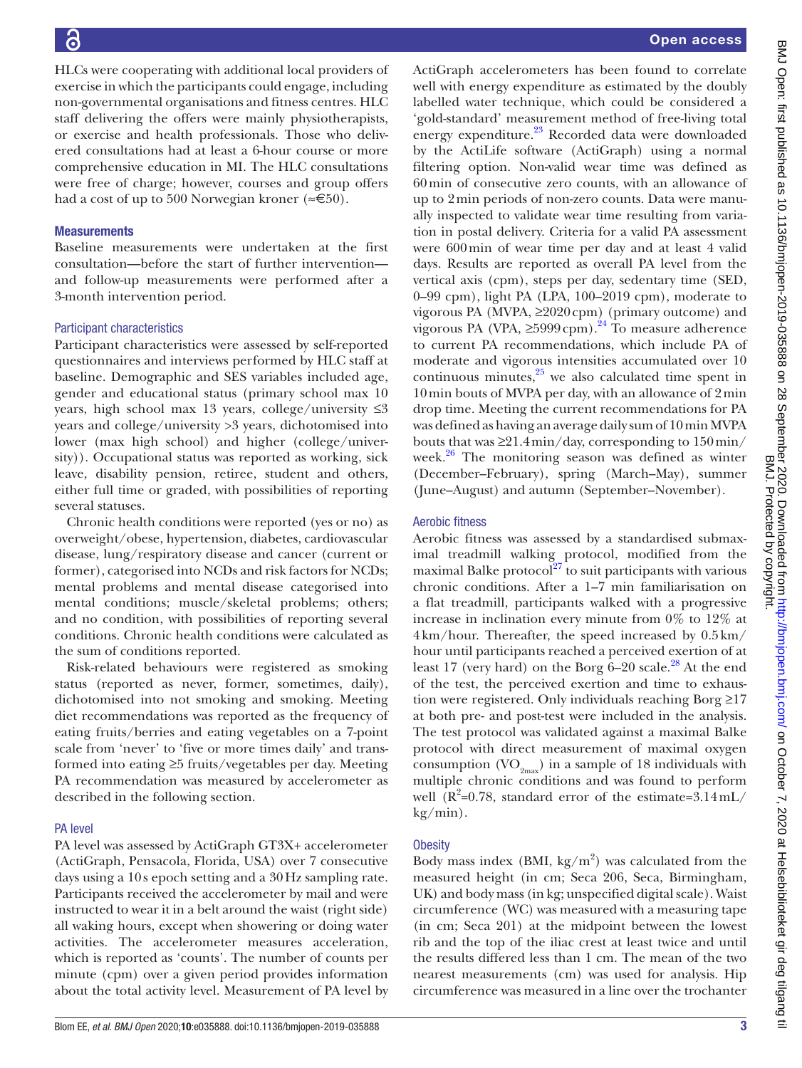16

HLCs were cooperating with additional local providers of exercise in which the participants could engage, including non-governmental organisations and fitness centres. HLC staff delivering the offers were mainly physiotherapists, or exercise and health professionals. Those who delivered consultations had at least a 6-hour course or more comprehensive education in MI. The HLC consultations were free of charge; however, courses and group offers had a cost of up to 500 Norwegian kroner ( $\approx 500$ ).

#### **Measurements**

Baseline measurements were undertaken at the first consultation—before the start of further intervention and follow-up measurements were performed after a 3-month intervention period.

#### Participant characteristics

Participant characteristics were assessed by self-reported questionnaires and interviews performed by HLC staff at baseline. Demographic and SES variables included age, gender and educational status (primary school max 10 years, high school max 13 years, college/university ≤3 years and college/university >3 years, dichotomised into lower (max high school) and higher (college/university)). Occupational status was reported as working, sick leave, disability pension, retiree, student and others, either full time or graded, with possibilities of reporting several statuses.

Chronic health conditions were reported (yes or no) as overweight/obese, hypertension, diabetes, cardiovascular disease, lung/respiratory disease and cancer (current or former), categorised into NCDs and risk factors for NCDs; mental problems and mental disease categorised into mental conditions; muscle/skeletal problems; others; and no condition, with possibilities of reporting several conditions. Chronic health conditions were calculated as the sum of conditions reported.

Risk-related behaviours were registered as smoking status (reported as never, former, sometimes, daily), dichotomised into not smoking and smoking. Meeting diet recommendations was reported as the frequency of eating fruits/berries and eating vegetables on a 7-point scale from 'never' to 'five or more times daily' and transformed into eating ≥5 fruits/vegetables per day. Meeting PA recommendation was measured by accelerometer as described in the following section.

#### PA level

PA level was assessed by ActiGraph GT3X+ accelerometer (ActiGraph, Pensacola, Florida, USA) over 7 consecutive days using a 10s epoch setting and a 30Hz sampling rate. Participants received the accelerometer by mail and were instructed to wear it in a belt around the waist (right side) all waking hours, except when showering or doing water activities. The accelerometer measures acceleration, which is reported as 'counts'. The number of counts per minute (cpm) over a given period provides information about the total activity level. Measurement of PA level by ActiGraph accelerometers has been found to correlate well with energy expenditure as estimated by the doubly labelled water technique, which could be considered a 'gold-standard' measurement method of free-living total energy expenditure.<sup>[23](#page-8-18)</sup> Recorded data were downloaded by the ActiLife software (ActiGraph) using a normal filtering option. Non-valid wear time was defined as 60min of consecutive zero counts, with an allowance of up to 2min periods of non-zero counts. Data were manually inspected to validate wear time resulting from variation in postal delivery. Criteria for a valid PA assessment were 600min of wear time per day and at least 4 valid days. Results are reported as overall PA level from the vertical axis (cpm), steps per day, sedentary time (SED, 0–99 cpm), light PA (LPA, 100–2019 cpm), moderate to vigorous PA (MVPA,  $\geq$ 2020 cpm) (primary outcome) and vigorous PA (VPA,  $\geq$ 5999cpm).<sup>24</sup> To measure adherence to current PA recommendations, which include PA of moderate and vigorous intensities accumulated over 10 continuous minutes, $25$  we also calculated time spent in 10min bouts of MVPA per day, with an allowance of 2min drop time. Meeting the current recommendations for PA was defined as having an average daily sum of 10min MVPA bouts that was  $\geq 21.4 \text{min/day}$ , corresponding to  $150 \text{min/s}$ week. $26$  The monitoring season was defined as winter (December–February), spring (March–May), summer (June–August) and autumn (September–November).

#### Aerobic fitness

Aerobic fitness was assessed by a standardised submaximal treadmill walking protocol, modified from the maximal Balke protocol $^{27}$  to suit participants with various chronic conditions. After a 1–7 min familiarisation on a flat treadmill, participants walked with a progressive increase in inclination every minute from 0% to 12% at 4km/hour. Thereafter, the speed increased by 0.5km/ hour until participants reached a perceived exertion of at least 17 (very hard) on the Borg  $6-20$  scale.<sup>[28](#page-8-23)</sup> At the end of the test, the perceived exertion and time to exhaustion were registered. Only individuals reaching Borg ≥17 at both pre- and post-test were included in the analysis. The test protocol was validated against a maximal Balke protocol with direct measurement of maximal oxygen consumption  $(VO_{2<sub>max</sub>})$  in a sample of 18 individuals with multiple chronic conditions and was found to perform well  $(R^2=0.78$ , standard error of the estimate=3.14 mL/ kg/min).

#### **Obesity**

Body mass index (BMI,  $\text{kg/m}^2$ ) was calculated from the measured height (in cm; Seca 206, Seca, Birmingham, UK) and body mass (in kg; unspecified digital scale). Waist circumference (WC) was measured with a measuring tape (in cm; Seca 201) at the midpoint between the lowest rib and the top of the iliac crest at least twice and until the results differed less than 1 cm. The mean of the two nearest measurements (cm) was used for analysis. Hip circumference was measured in a line over the trochanter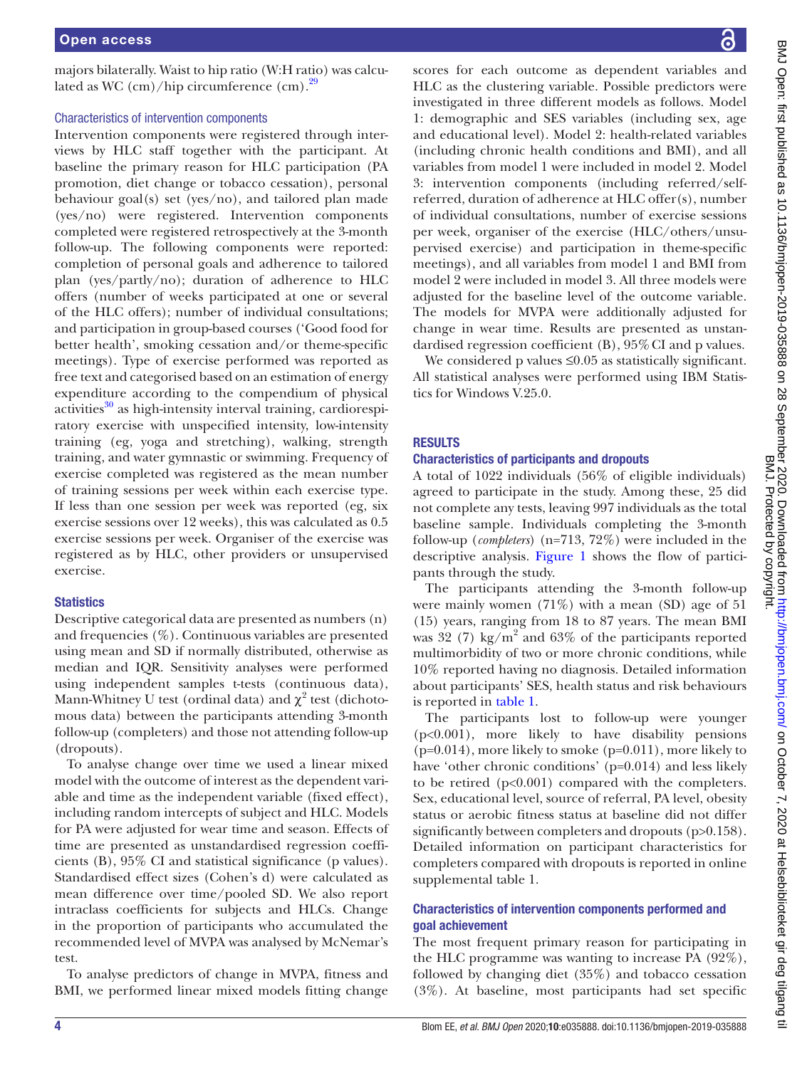majors bilaterally. Waist to hip ratio (W:H ratio) was calculated as WC  $\rm (cm)/hip$  circumference  $\rm (cm).^{29}$ 

#### Characteristics of intervention components

Intervention components were registered through interviews by HLC staff together with the participant. At baseline the primary reason for HLC participation (PA promotion, diet change or tobacco cessation), personal behaviour goal(s) set (yes/no), and tailored plan made (yes/no) were registered. Intervention components completed were registered retrospectively at the 3-month follow-up. The following components were reported: completion of personal goals and adherence to tailored plan (yes/partly/no); duration of adherence to HLC offers (number of weeks participated at one or several of the HLC offers); number of individual consultations; and participation in group-based courses ('Good food for better health', smoking cessation and/or theme-specific meetings). Type of exercise performed was reported as free text and categorised based on an estimation of energy expenditure according to the compendium of physical  $\arctivities^{30}$  as high-intensity interval training, cardiorespiratory exercise with unspecified intensity, low-intensity training (eg, yoga and stretching), walking, strength training, and water gymnastic or swimming. Frequency of exercise completed was registered as the mean number of training sessions per week within each exercise type. If less than one session per week was reported (eg, six exercise sessions over 12 weeks), this was calculated as 0.5 exercise sessions per week. Organiser of the exercise was registered as by HLC, other providers or unsupervised exercise.

# **Statistics**

Descriptive categorical data are presented as numbers (n) and frequencies (%). Continuous variables are presented using mean and SD if normally distributed, otherwise as median and IQR. Sensitivity analyses were performed using independent samples t-tests (continuous data), Mann-Whitney U test (ordinal data) and  $\chi^2$  test (dichotomous data) between the participants attending 3-month follow-up (completers) and those not attending follow-up (dropouts).

To analyse change over time we used a linear mixed model with the outcome of interest as the dependent variable and time as the independent variable (fixed effect), including random intercepts of subject and HLC. Models for PA were adjusted for wear time and season. Effects of time are presented as unstandardised regression coefficients (B), 95% CI and statistical significance (p values). Standardised effect sizes (Cohen's d) were calculated as mean difference over time/pooled SD. We also report intraclass coefficients for subjects and HLCs. Change in the proportion of participants who accumulated the recommended level of MVPA was analysed by McNemar's test.

To analyse predictors of change in MVPA, fitness and BMI, we performed linear mixed models fitting change

scores for each outcome as dependent variables and HLC as the clustering variable. Possible predictors were investigated in three different models as follows. Model 1: demographic and SES variables (including sex, age and educational level). Model 2: health-related variables (including chronic health conditions and BMI), and all variables from model 1 were included in model 2. Model 3: intervention components (including referred/selfreferred, duration of adherence at HLC offer(s), number of individual consultations, number of exercise sessions per week, organiser of the exercise (HLC/others/unsupervised exercise) and participation in theme-specific meetings), and all variables from model 1 and BMI from model 2 were included in model 3. All three models were adjusted for the baseline level of the outcome variable. The models for MVPA were additionally adjusted for change in wear time. Results are presented as unstandardised regression coefficient (B), 95%CI and p values.

We considered p values ≤0.05 as statistically significant. All statistical analyses were performed using IBM Statistics for Windows V.25.0.

# RESULTS

# Characteristics of participants and dropouts

A total of 1022 individuals (56% of eligible individuals) agreed to participate in the study. Among these, 25 did not complete any tests, leaving 997 individuals as the total baseline sample. Individuals completing the 3-month follow-up (*completers*) (n=713, 72%) were included in the descriptive analysis. [Figure](#page-4-0) 1 shows the flow of participants through the study.

The participants attending the 3-month follow-up were mainly women  $(71\%)$  with a mean (SD) age of 51 (15) years, ranging from 18 to 87 years. The mean BMI was 32 (7) kg/m<sup>2</sup> and 63% of the participants reported multimorbidity of two or more chronic conditions, while 10% reported having no diagnosis. Detailed information about participants' SES, health status and risk behaviours is reported in [table](#page-5-0) 1.

The participants lost to follow-up were younger (p<0.001), more likely to have disability pensions  $(p=0.014)$ , more likely to smoke  $(p=0.011)$ , more likely to have 'other chronic conditions' (p=0.014) and less likely to be retired  $(p<0.001)$  compared with the completers. Sex, educational level, source of referral, PA level, obesity status or aerobic fitness status at baseline did not differ significantly between completers and dropouts (p>0.158). Detailed information on participant characteristics for completers compared with dropouts is reported in [online](https://dx.doi.org/10.1136/bmjopen-2019-035888)  [supplemental table 1.](https://dx.doi.org/10.1136/bmjopen-2019-035888)

# Characteristics of intervention components performed and goal achievement

The most frequent primary reason for participating in the HLC programme was wanting to increase PA (92%), followed by changing diet (35%) and tobacco cessation (3%). At baseline, most participants had set specific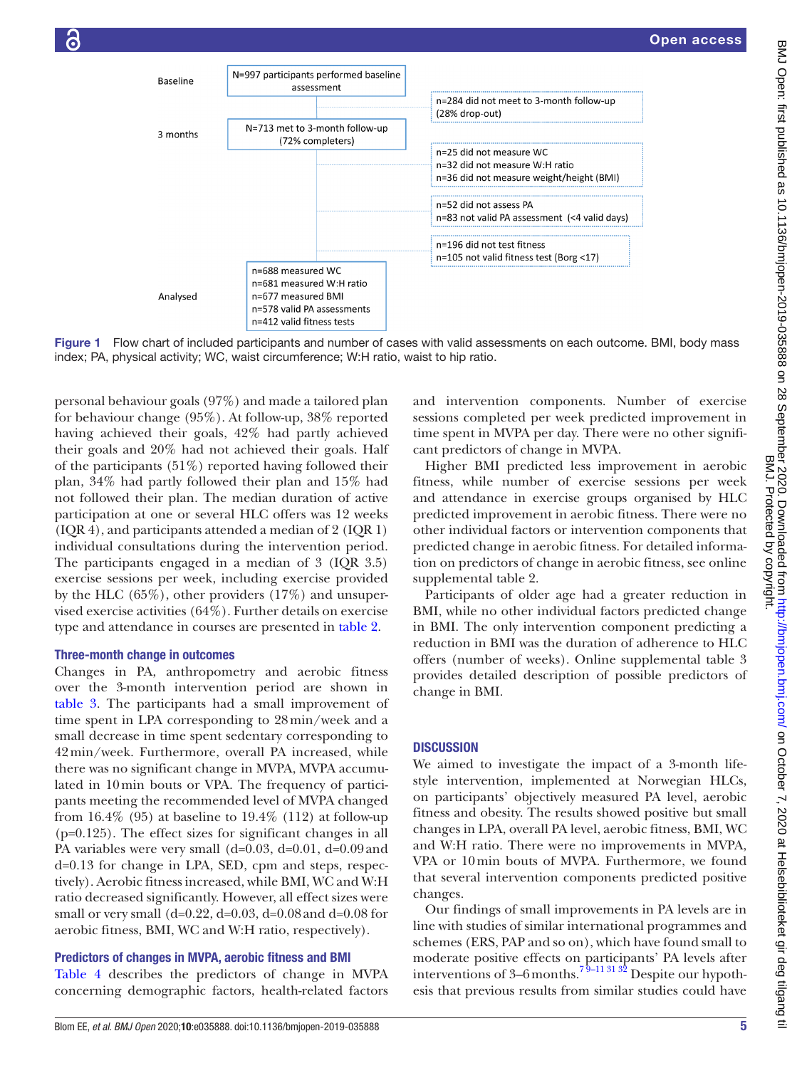

Figure 1 Flow chart of included participants and number of cases with valid assessments on each outcome. BMI, body mass index; PA, physical activity; WC, waist circumference; W:H ratio, waist to hip ratio.

personal behaviour goals (97%) and made a tailored plan for behaviour change (95%). At follow-up, 38% reported having achieved their goals, 42% had partly achieved their goals and 20% had not achieved their goals. Half of the participants  $(51\%)$  reported having followed their plan, 34% had partly followed their plan and 15% had not followed their plan. The median duration of active participation at one or several HLC offers was 12 weeks (IQR 4), and participants attended a median of 2 (IQR 1) individual consultations during the intervention period. The participants engaged in a median of 3 (IQR 3.5) exercise sessions per week, including exercise provided by the HLC (65%), other providers (17%) and unsupervised exercise activities (64%). Further details on exercise type and attendance in courses are presented in [table](#page-5-1) 2.

#### Three-month change in outcomes

Changes in PA, anthropometry and aerobic fitness over the 3-month intervention period are shown in [table](#page-6-0) 3. The participants had a small improvement of time spent in LPA corresponding to 28min/week and a small decrease in time spent sedentary corresponding to 42min/week. Furthermore, overall PA increased, while there was no significant change in MVPA, MVPA accumulated in 10min bouts or VPA. The frequency of participants meeting the recommended level of MVPA changed from  $16.4\%$  (95) at baseline to  $19.4\%$  (112) at follow-up (p=0.125). The effect sizes for significant changes in all PA variables were very small (d=0.03, d=0.01, d=0.09and d=0.13 for change in LPA, SED, cpm and steps, respectively). Aerobic fitness increased, while BMI, WC and W:H ratio decreased significantly. However, all effect sizes were small or very small (d=0.22, d=0.03, d=0.08 and d=0.08 for aerobic fitness, BMI, WC and W:H ratio, respectively).

#### Predictors of changes in MVPA, aerobic fitness and BMI

[Table](#page-7-0) 4 describes the predictors of change in MVPA concerning demographic factors, health-related factors

<span id="page-4-0"></span>and intervention components. Number of exercise sessions completed per week predicted improvement in time spent in MVPA per day. There were no other significant predictors of change in MVPA.

Higher BMI predicted less improvement in aerobic fitness, while number of exercise sessions per week and attendance in exercise groups organised by HLC predicted improvement in aerobic fitness. There were no other individual factors or intervention components that predicted change in aerobic fitness. For detailed information on predictors of change in aerobic fitness, see [online](https://dx.doi.org/10.1136/bmjopen-2019-035888)  [supplemental table 2.](https://dx.doi.org/10.1136/bmjopen-2019-035888)

Participants of older age had a greater reduction in BMI, while no other individual factors predicted change in BMI. The only intervention component predicting a reduction in BMI was the duration of adherence to HLC offers (number of weeks). [Online supplemental table 3](https://dx.doi.org/10.1136/bmjopen-2019-035888)  provides detailed description of possible predictors of change in BMI.

# **DISCUSSION**

We aimed to investigate the impact of a 3-month lifestyle intervention, implemented at Norwegian HLCs, on participants' objectively measured PA level, aerobic fitness and obesity. The results showed positive but small changes in LPA, overall PA level, aerobic fitness, BMI, WC and W:H ratio. There were no improvements in MVPA, VPA or 10min bouts of MVPA. Furthermore, we found that several intervention components predicted positive changes.

Our findings of small improvements in PA levels are in line with studies of similar international programmes and schemes (ERS, PAP and so on), which have found small to moderate positive effects on participants' PA levels after interventions of 3–6 months.<sup>79–11 31 32</sup> Despite our hypothesis that previous results from similar studies could have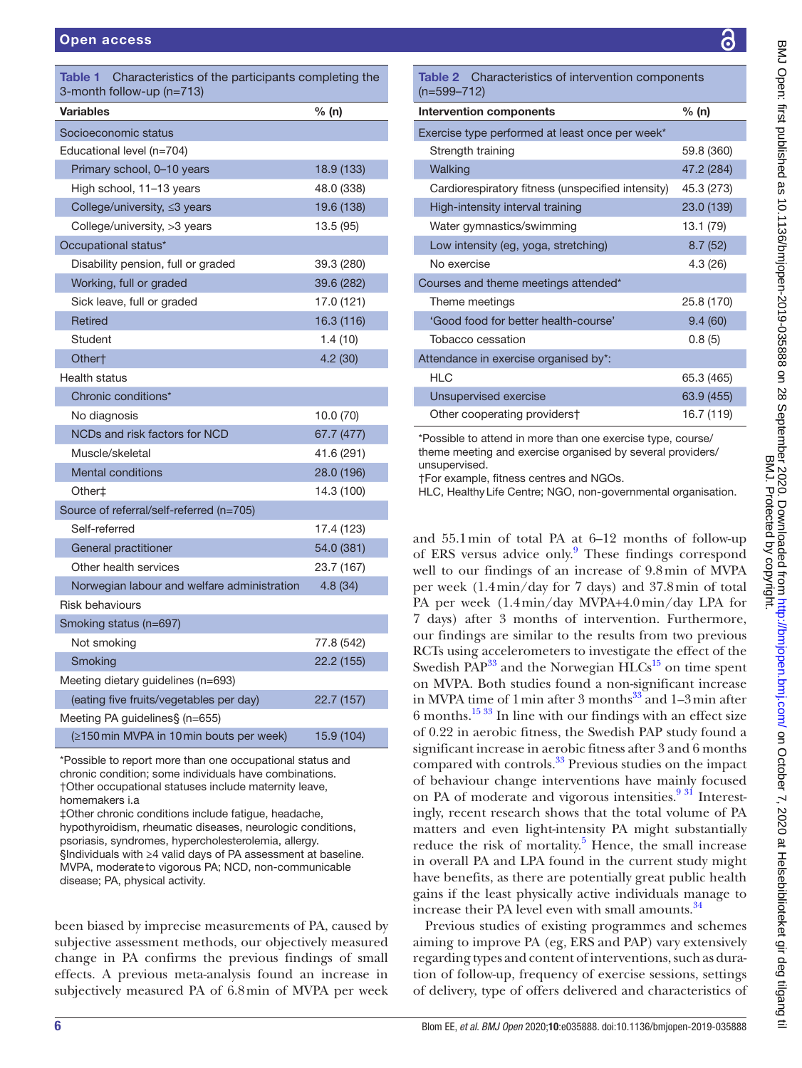<span id="page-5-0"></span>

| Table 1<br>Characteristics of the participants completing the<br>3-month follow-up (n=713) |            |  |  |  |  |  |
|--------------------------------------------------------------------------------------------|------------|--|--|--|--|--|
| <b>Variables</b>                                                                           | % (n)      |  |  |  |  |  |
| Socioeconomic status                                                                       |            |  |  |  |  |  |
| Educational level (n=704)                                                                  |            |  |  |  |  |  |
| Primary school, 0-10 years                                                                 | 18.9 (133) |  |  |  |  |  |
| High school, 11–13 years                                                                   | 48.0 (338) |  |  |  |  |  |
| College/university, ≤3 years                                                               | 19.6 (138) |  |  |  |  |  |
| College/university, >3 years                                                               | 13.5 (95)  |  |  |  |  |  |
| Occupational status*                                                                       |            |  |  |  |  |  |
| Disability pension, full or graded                                                         | 39.3 (280) |  |  |  |  |  |
| Working, full or graded                                                                    | 39.6 (282) |  |  |  |  |  |
| Sick leave, full or graded                                                                 | 17.0 (121) |  |  |  |  |  |
| Retired                                                                                    | 16.3 (116) |  |  |  |  |  |
| Student                                                                                    | 1.4 (10)   |  |  |  |  |  |
| Other†                                                                                     | 4.2(30)    |  |  |  |  |  |
| <b>Health status</b>                                                                       |            |  |  |  |  |  |
| Chronic conditions*                                                                        |            |  |  |  |  |  |
| No diagnosis                                                                               | 10.0 (70)  |  |  |  |  |  |
| NCDs and risk factors for NCD                                                              | 67.7 (477) |  |  |  |  |  |
| Muscle/skeletal                                                                            | 41.6 (291) |  |  |  |  |  |
| <b>Mental conditions</b>                                                                   | 28.0 (196) |  |  |  |  |  |
| Other‡                                                                                     | 14.3 (100) |  |  |  |  |  |
| Source of referral/self-referred (n=705)                                                   |            |  |  |  |  |  |
| Self-referred                                                                              | 17.4 (123) |  |  |  |  |  |
| General practitioner                                                                       | 54.0 (381) |  |  |  |  |  |
| Other health services                                                                      | 23.7 (167) |  |  |  |  |  |
| Norwegian labour and welfare administration                                                | 4.8 (34)   |  |  |  |  |  |
| Risk behaviours                                                                            |            |  |  |  |  |  |
| Smoking status (n=697)                                                                     |            |  |  |  |  |  |
| Not smoking                                                                                | 77.8 (542) |  |  |  |  |  |
| Smoking                                                                                    | 22.2 (155) |  |  |  |  |  |
| Meeting dietary guidelines (n=693)                                                         |            |  |  |  |  |  |
| (eating five fruits/vegetables per day)                                                    | 22.7 (157) |  |  |  |  |  |
| Meeting PA guidelines§ (n=655)                                                             |            |  |  |  |  |  |
| (≥150 min MVPA in 10 min bouts per week)                                                   | 15.9 (104) |  |  |  |  |  |

\*Possible to report more than one occupational status and chronic condition; some individuals have combinations. †Other occupational statuses include maternity leave, homemakers i.a

‡Other chronic conditions include fatigue, headache, hypothyroidism, rheumatic diseases, neurologic conditions, psoriasis, syndromes, hypercholesterolemia, allergy. §Individuals with ≥4 valid days of PA assessment at baseline. MVPA, moderateto vigorous PA; NCD, non-communicable disease; PA, physical activity.

been biased by imprecise measurements of PA, caused by subjective assessment methods, our objectively measured change in PA confirms the previous findings of small effects. A previous meta-analysis found an increase in subjectively measured PA of 6.8min of MVPA per week

<span id="page-5-1"></span>

| Table 2 Characteristics of intervention components<br>$(n=599-712)$ |            |  |  |  |  |  |
|---------------------------------------------------------------------|------------|--|--|--|--|--|
| <b>Intervention components</b>                                      | % (n)      |  |  |  |  |  |
| Exercise type performed at least once per week*                     |            |  |  |  |  |  |
| Strength training                                                   | 59.8 (360) |  |  |  |  |  |
| Walking                                                             | 47.2 (284) |  |  |  |  |  |
| Cardiorespiratory fitness (unspecified intensity)                   | 45.3 (273) |  |  |  |  |  |
| High-intensity interval training                                    | 23.0 (139) |  |  |  |  |  |
| Water gymnastics/swimming                                           | 13.1 (79)  |  |  |  |  |  |
| Low intensity (eg, yoga, stretching)                                | 8.7(52)    |  |  |  |  |  |
| No exercise                                                         | 4.3(26)    |  |  |  |  |  |
| Courses and theme meetings attended*                                |            |  |  |  |  |  |
| 25.8 (170)<br>Theme meetings                                        |            |  |  |  |  |  |
| 'Good food for better health-course'                                | 9.4(60)    |  |  |  |  |  |
| Tobacco cessation                                                   | 0.8(5)     |  |  |  |  |  |
| Attendance in exercise organised by*:                               |            |  |  |  |  |  |
| <b>HLC</b>                                                          | 65.3 (465) |  |  |  |  |  |
| Unsupervised exercise                                               | 63.9 (455) |  |  |  |  |  |
| Other cooperating providers†                                        | 16.7 (119) |  |  |  |  |  |
| *Possible to attend in more than one exercise type, course/         |            |  |  |  |  |  |

theme meeting and exercise organised by several providers/ unsupervised.

†For example, fitness centres and NGOs.

HLC, HealthyLife Centre; NGO, non-governmental organisation.

and 55.1min of total PA at 6–12 months of follow-up of ERS versus advice only.<sup>[9](#page-8-26)</sup> These findings correspond well to our findings of an increase of 9.8min of MVPA per week (1.4min/day for 7 days) and 37.8min of total PA per week (1.4min/day MVPA+4.0min/day LPA for 7 days) after 3 months of intervention. Furthermore, our findings are similar to the results from two previous RCTs using accelerometers to investigate the effect of the Swedish  $PAP^{33}$  $PAP^{33}$  $PAP^{33}$  and the Norwegian  $HLCs^{15}$  on time spent on MVPA. Both studies found a non-significant increase in MVPA time of 1 min after 3 months $^{33}$  and 1–3 min after 6 months.[15 33](#page-8-10) In line with our findings with an effect size of 0.22 in aerobic fitness, the Swedish PAP study found a significant increase in aerobic fitness after 3 and 6 months compared with controls.[33](#page-8-27) Previous studies on the impact of behaviour change interventions have mainly focused on PA of moderate and vigorous intensities.<sup>931</sup> Interestingly, recent research shows that the total volume of PA matters and even light-intensity PA might substantially reduce the risk of mortality.<sup>5</sup> Hence, the small increase in overall PA and LPA found in the current study might have benefits, as there are potentially great public health gains if the least physically active individuals manage to increase their PA level even with small amounts.<sup>[34](#page-8-28)</sup>

Previous studies of existing programmes and schemes aiming to improve PA (eg, ERS and PAP) vary extensively regarding types and content of interventions, such as duration of follow-up, frequency of exercise sessions, settings of delivery, type of offers delivered and characteristics of

 $\equiv$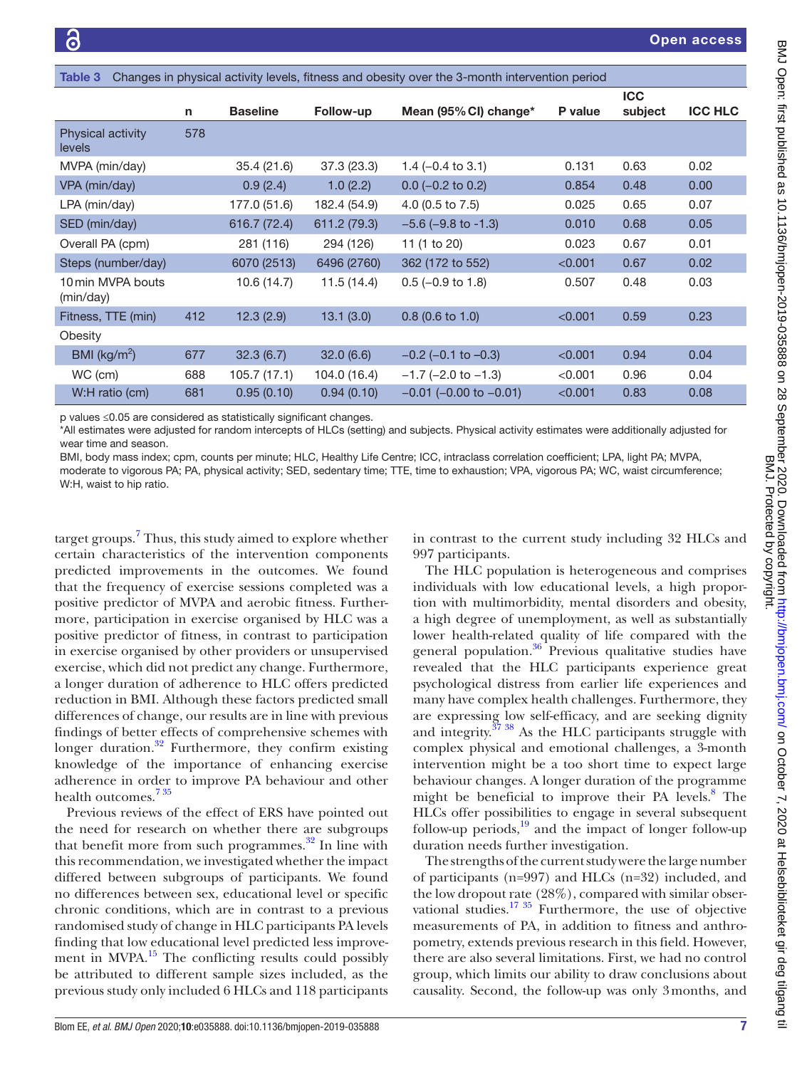<span id="page-6-0"></span>

| Changes in physical activity levels, fitness and obesity over the 3-month intervention period<br>Table 3 |     |                 |              |                                |         |                       |                |  |  |
|----------------------------------------------------------------------------------------------------------|-----|-----------------|--------------|--------------------------------|---------|-----------------------|----------------|--|--|
|                                                                                                          | n   | <b>Baseline</b> | Follow-up    | Mean (95% CI) change*          | P value | <b>ICC</b><br>subject | <b>ICC HLC</b> |  |  |
| Physical activity<br>levels                                                                              | 578 |                 |              |                                |         |                       |                |  |  |
| MVPA (min/day)                                                                                           |     | 35.4 (21.6)     | 37.3(23.3)   | 1.4 $(-0.4 \text{ to } 3.1)$   | 0.131   | 0.63                  | 0.02           |  |  |
| VPA (min/day)                                                                                            |     | 0.9(2.4)        | 1.0(2.2)     | $0.0$ (-0.2 to 0.2)            | 0.854   | 0.48                  | 0.00           |  |  |
| LPA (min/day)                                                                                            |     | 177.0 (51.6)    | 182.4 (54.9) | 4.0 (0.5 to 7.5)               | 0.025   | 0.65                  | 0.07           |  |  |
| SED (min/day)                                                                                            |     | 616.7 (72.4)    | 611.2 (79.3) | $-5.6$ ( $-9.8$ to $-1.3$ )    | 0.010   | 0.68                  | 0.05           |  |  |
| Overall PA (cpm)                                                                                         |     | 281 (116)       | 294 (126)    | 11 (1 to 20)                   | 0.023   | 0.67                  | 0.01           |  |  |
| Steps (number/day)                                                                                       |     | 6070 (2513)     | 6496 (2760)  | 362 (172 to 552)               | < 0.001 | 0.67                  | 0.02           |  |  |
| 10 min MVPA bouts<br>(min/day)                                                                           |     | 10.6(14.7)      | 11.5(14.4)   | $0.5$ (-0.9 to 1.8)            | 0.507   | 0.48                  | 0.03           |  |  |
| Fitness, TTE (min)                                                                                       | 412 | 12.3(2.9)       | 13.1(3.0)    | $0.8$ (0.6 to 1.0)             | < 0.001 | 0.59                  | 0.23           |  |  |
| Obesity                                                                                                  |     |                 |              |                                |         |                       |                |  |  |
| BMI ( $\text{kg/m}^2$ )                                                                                  | 677 | 32.3(6.7)       | 32.0(6.6)    | $-0.2$ ( $-0.1$ to $-0.3$ )    | < 0.001 | 0.94                  | 0.04           |  |  |
| WC (cm)                                                                                                  | 688 | 105.7(17.1)     | 104.0 (16.4) | $-1.7$ ( $-2.0$ to $-1.3$ )    | < 0.001 | 0.96                  | 0.04           |  |  |
| W:H ratio (cm)                                                                                           | 681 | 0.95(0.10)      | 0.94(0.10)   | $-0.01$ ( $-0.00$ to $-0.01$ ) | < 0.001 | 0.83                  | 0.08           |  |  |
|                                                                                                          |     |                 |              |                                |         |                       |                |  |  |

p values ≤0.05 are considered as statistically significant changes.

\*All estimates were adjusted for random intercepts of HLCs (setting) and subjects. Physical activity estimates were additionally adjusted for wear time and season.

BMI, body mass index; cpm, counts per minute; HLC, Healthy Life Centre; ICC, intraclass correlation coefficient; LPA, light PA; MVPA,

moderate to vigorous PA; PA, physical activity; SED, sedentary time; TTE, time to exhaustion; VPA, vigorous PA; WC, waist circumference; W:H, waist to hip ratio.

target groups.<sup>[7](#page-8-5)</sup> Thus, this study aimed to explore whether certain characteristics of the intervention components predicted improvements in the outcomes. We found that the frequency of exercise sessions completed was a positive predictor of MVPA and aerobic fitness. Furthermore, participation in exercise organised by HLC was a positive predictor of fitness, in contrast to participation in exercise organised by other providers or unsupervised exercise, which did not predict any change. Furthermore, a longer duration of adherence to HLC offers predicted reduction in BMI. Although these factors predicted small differences of change, our results are in line with previous findings of better effects of comprehensive schemes with longer duration. $32$  Furthermore, they confirm existing knowledge of the importance of enhancing exercise adherence in order to improve PA behaviour and other health outcomes.<sup>735</sup>

Previous reviews of the effect of ERS have pointed out the need for research on whether there are subgroups that benefit more from such programmes. $32$  In line with this recommendation, we investigated whether the impact differed between subgroups of participants. We found no differences between sex, educational level or specific chronic conditions, which are in contrast to a previous randomised study of change in HLC participants PA levels finding that low educational level predicted less improvement in MVPA.<sup>15</sup> The conflicting results could possibly be attributed to different sample sizes included, as the previous study only included 6 HLCs and 118 participants

in contrast to the current study including 32 HLCs and 997 participants.

The HLC population is heterogeneous and comprises individuals with low educational levels, a high proportion with multimorbidity, mental disorders and obesity, a high degree of unemployment, as well as substantially lower health-related quality of life compared with the general population. $36$  Previous qualitative studies have revealed that the HLC participants experience great psychological distress from earlier life experiences and many have complex health challenges. Furthermore, they are expressing low self-efficacy, and are seeking dignity and integrity. $\frac{37 \times 38}{100}$  As the HLC participants struggle with complex physical and emotional challenges, a 3-month intervention might be a too short time to expect large behaviour changes. A longer duration of the programme might be beneficial to improve their PA levels.<sup>8</sup> The HLCs offer possibilities to engage in several subsequent follow-up periods, $\frac{19}{19}$  and the impact of longer follow-up duration needs further investigation.

The strengths of the current study were the large number of participants (n=997) and HLCs (n=32) included, and the low dropout rate (28%), compared with similar observational studies.<sup>17 35</sup> Furthermore, the use of objective measurements of PA, in addition to fitness and anthropometry, extends previous research in this field. However, there are also several limitations. First, we had no control group, which limits our ability to draw conclusions about causality. Second, the follow-up was only 3months, and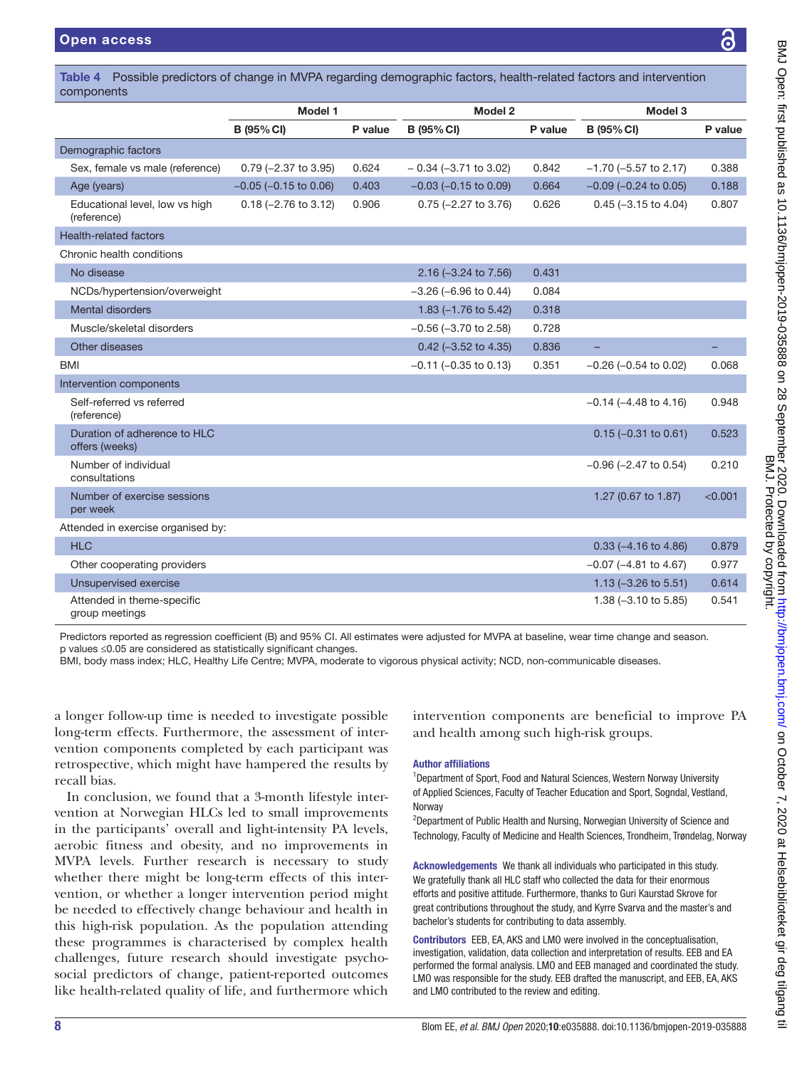Demographic factors

Health-related factors

components

(reference)

(reference)

offers (weeks)

consultations

group meetings

per week

<span id="page-7-0"></span>Table 4 Possible predictors of change in MVPA regarding demographic factors, health-related factors and intervention Model 1 Model 2 Model 3 B (95%CI) P value B (95%CI) P value B (95%CI) P value Sex, female vs male (reference) 0.79 (−2.37 to 3.95) 0.624 − 0.34 (−3.71 to 3.02) 0.842 −1.70 (−5.57 to 2.17) 0.388 Age (years) -0.05 (−0.15 to 0.06) 0.403 −0.03 (−0.15 to 0.09) 0.664 −0.09 (−0.24 to 0.05) 0.188 Educational level, low vs high 0.18 (−2.76 to 3.12) 0.906 0.75 (−2.27 to 3.76) 0.626 0.45 (−3.15 to 4.04) 0.807 Chronic health conditions No disease 2.16 (−3.24 to 7.56) 0.431 NCDs/hypertension/overweight −3.26 (−6.96 to 0.44) 0.084 Mental disorders 1.83 (−1.76 to 5.42) 0.318 Muscle/skeletal disorders −0.56 (−3.70 to 2.58) 0.728 Other diseases 0.42 (−3.52 to 4.35) 0.836 BMI −0.11 (−0.35 to 0.13) 0.351 −0.26 (−0.54 to 0.02) 0.068 Intervention components Self-referred vs referred −0.14 (−4.48 to 4.16) 0.948 Duration of adherence to HLC 0.15 (−0.31 to 0.61) 0.523 Number of individual −0.96 (−2.47 to 0.54) 0.210 Number of exercise sessions 1.27 (0.67 to 1.87) <0.001 Attended in exercise organised by: HLC 0.33 (−4.16 to 4.86) 0.879 Other cooperating providers  $-0.07$  (−4.81 to 4.67) 0.977 Unsupervised exercise 1.13 (−3.26 to 5.51) 0.614 Attended in theme-specific 1.38 (−3.10 to 5.85) 0.541

Predictors reported as regression coefficient (B) and 95% CI. All estimates were adjusted for MVPA at baseline, wear time change and season. p values ≤0.05 are considered as statistically significant changes.

BMI, body mass index; HLC, Healthy Life Centre; MVPA, moderate to vigorous physical activity; NCD, non-communicable diseases.

a longer follow-up time is needed to investigate possible long-term effects. Furthermore, the assessment of intervention components completed by each participant was retrospective, which might have hampered the results by recall bias.

In conclusion, we found that a 3-month lifestyle intervention at Norwegian HLCs led to small improvements in the participants' overall and light-intensity PA levels, aerobic fitness and obesity, and no improvements in MVPA levels. Further research is necessary to study whether there might be long-term effects of this intervention, or whether a longer intervention period might be needed to effectively change behaviour and health in this high-risk population. As the population attending these programmes is characterised by complex health challenges, future research should investigate psychosocial predictors of change, patient-reported outcomes like health-related quality of life, and furthermore which

intervention components are beneficial to improve PA and health among such high-risk groups.

#### Author affiliations

<sup>1</sup>Department of Sport, Food and Natural Sciences, Western Norway University of Applied Sciences, Faculty of Teacher Education and Sport, Sogndal, Vestland, **Norway** 

<sup>2</sup>Department of Public Health and Nursing, Norwegian University of Science and Technology, Faculty of Medicine and Health Sciences, Trondheim, Trøndelag, Norway

Acknowledgements We thank all individuals who participated in this study. We gratefully thank all HLC staff who collected the data for their enormous efforts and positive attitude. Furthermore, thanks to Guri Kaurstad Skrove for great contributions throughout the study, and Kyrre Svarva and the master's and bachelor's students for contributing to data assembly.

Contributors EEB, EA, AKS and LMO were involved in the conceptualisation, investigation, validation, data collection and interpretation of results. EEB and EA performed the formal analysis. LMO and EEB managed and coordinated the study. LMO was responsible for the study. EEB drafted the manuscript, and EEB, EA, AKS and LMO contributed to the review and editing.

록